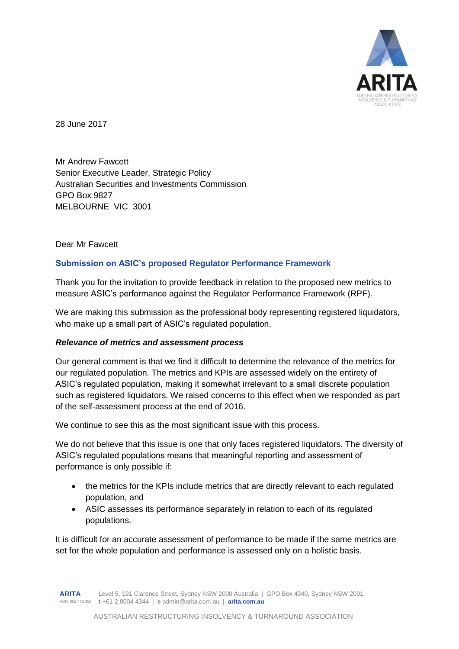

28 June 2017

Mr Andrew Fawcett Senior Executive Leader, Strategic Policy Australian Securities and Investments Commission GPO Box 9827 MELBOURNE VIC 3001

## Dear Mr Fawcett

## **Submission on ASIC's proposed Regulator Performance Framework**

Thank you for the invitation to provide feedback in relation to the proposed new metrics to measure ASIC's performance against the Regulator Performance Framework (RPF).

We are making this submission as the professional body representing registered liquidators, who make up a small part of ASIC's regulated population.

## *Relevance of metrics and assessment process*

Our general comment is that we find it difficult to determine the relevance of the metrics for our regulated population. The metrics and KPIs are assessed widely on the entirety of ASIC's regulated population, making it somewhat irrelevant to a small discrete population such as registered liquidators. We raised concerns to this effect when we responded as part of the self-assessment process at the end of 2016.

We continue to see this as the most significant issue with this process.

We do not believe that this issue is one that only faces registered liquidators. The diversity of ASIC's regulated populations means that meaningful reporting and assessment of performance is only possible if:

- the metrics for the KPIs include metrics that are directly relevant to each regulated population, and
- ASIC assesses its performance separately in relation to each of its regulated populations.

It is difficult for an accurate assessment of performance to be made if the same metrics are set for the whole population and performance is assessed only on a holistic basis.

**ARITA** ACN 002 472 362 **t** +61 2 8004 4344 | **e** admin@arita.com.au | **arita.com.au** Level 5, 191 Clarence Street, Sydney NSW 2000 Australia | GPO Box 4340, Sydney NSW 2001